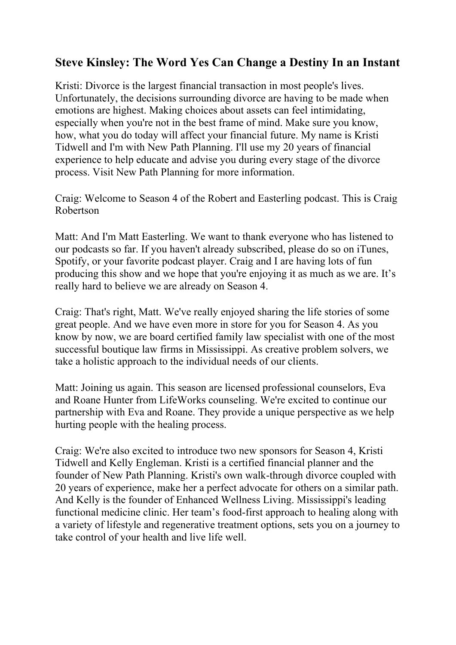## **Steve Kinsley: The Word Yes Can Change a Destiny In an Instant**

Kristi: Divorce is the largest financial transaction in most people's lives. Unfortunately, the decisions surrounding divorce are having to be made when emotions are highest. Making choices about assets can feel intimidating, especially when you're not in the best frame of mind. Make sure you know, how, what you do today will affect your financial future. My name is Kristi Tidwell and I'm with New Path Planning. I'll use my 20 years of financial experience to help educate and advise you during every stage of the divorce process. Visit New Path Planning for more information.

Craig: Welcome to Season 4 of the Robert and Easterling podcast. This is Craig Robertson

Matt: And I'm Matt Easterling. We want to thank everyone who has listened to our podcasts so far. If you haven't already subscribed, please do so on iTunes, Spotify, or your favorite podcast player. Craig and I are having lots of fun producing this show and we hope that you're enjoying it as much as we are. It's really hard to believe we are already on Season 4.

Craig: That's right, Matt. We've really enjoyed sharing the life stories of some great people. And we have even more in store for you for Season 4. As you know by now, we are board certified family law specialist with one of the most successful boutique law firms in Mississippi. As creative problem solvers, we take a holistic approach to the individual needs of our clients.

Matt: Joining us again. This season are licensed professional counselors, Eva and Roane Hunter from LifeWorks counseling. We're excited to continue our partnership with Eva and Roane. They provide a unique perspective as we help hurting people with the healing process.

Craig: We're also excited to introduce two new sponsors for Season 4, Kristi Tidwell and Kelly Engleman. Kristi is a certified financial planner and the founder of New Path Planning. Kristi's own walk-through divorce coupled with 20 years of experience, make her a perfect advocate for others on a similar path. And Kelly is the founder of Enhanced Wellness Living. Mississippi's leading functional medicine clinic. Her team's food-first approach to healing along with a variety of lifestyle and regenerative treatment options, sets you on a journey to take control of your health and live life well.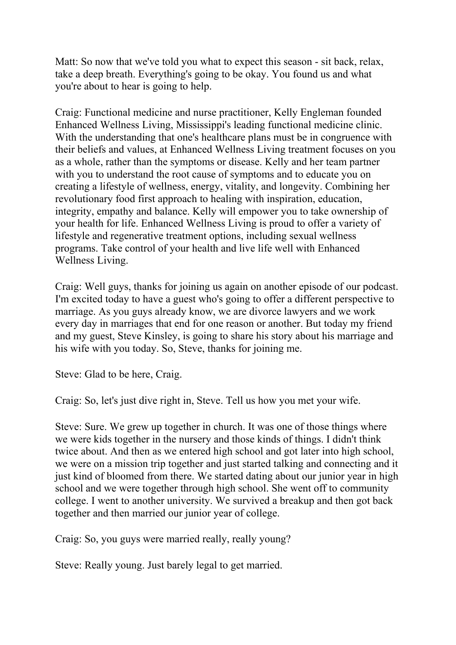Matt: So now that we've told you what to expect this season - sit back, relax, take a deep breath. Everything's going to be okay. You found us and what you're about to hear is going to help.

Craig: Functional medicine and nurse practitioner, Kelly Engleman founded Enhanced Wellness Living, Mississippi's leading functional medicine clinic. With the understanding that one's healthcare plans must be in congruence with their beliefs and values, at Enhanced Wellness Living treatment focuses on you as a whole, rather than the symptoms or disease. Kelly and her team partner with you to understand the root cause of symptoms and to educate you on creating a lifestyle of wellness, energy, vitality, and longevity. Combining her revolutionary food first approach to healing with inspiration, education, integrity, empathy and balance. Kelly will empower you to take ownership of your health for life. Enhanced Wellness Living is proud to offer a variety of lifestyle and regenerative treatment options, including sexual wellness programs. Take control of your health and live life well with Enhanced Wellness Living.

Craig: Well guys, thanks for joining us again on another episode of our podcast. I'm excited today to have a guest who's going to offer a different perspective to marriage. As you guys already know, we are divorce lawyers and we work every day in marriages that end for one reason or another. But today my friend and my guest, Steve Kinsley, is going to share his story about his marriage and his wife with you today. So, Steve, thanks for joining me.

Steve: Glad to be here, Craig.

Craig: So, let's just dive right in, Steve. Tell us how you met your wife.

Steve: Sure. We grew up together in church. It was one of those things where we were kids together in the nursery and those kinds of things. I didn't think twice about. And then as we entered high school and got later into high school, we were on a mission trip together and just started talking and connecting and it just kind of bloomed from there. We started dating about our junior year in high school and we were together through high school. She went off to community college. I went to another university. We survived a breakup and then got back together and then married our junior year of college.

Craig: So, you guys were married really, really young?

Steve: Really young. Just barely legal to get married.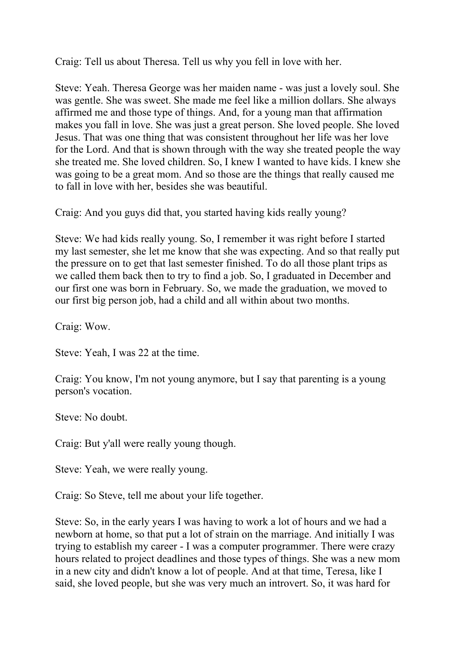Craig: Tell us about Theresa. Tell us why you fell in love with her.

Steve: Yeah. Theresa George was her maiden name - was just a lovely soul. She was gentle. She was sweet. She made me feel like a million dollars. She always affirmed me and those type of things. And, for a young man that affirmation makes you fall in love. She was just a great person. She loved people. She loved Jesus. That was one thing that was consistent throughout her life was her love for the Lord. And that is shown through with the way she treated people the way she treated me. She loved children. So, I knew I wanted to have kids. I knew she was going to be a great mom. And so those are the things that really caused me to fall in love with her, besides she was beautiful.

Craig: And you guys did that, you started having kids really young?

Steve: We had kids really young. So, I remember it was right before I started my last semester, she let me know that she was expecting. And so that really put the pressure on to get that last semester finished. To do all those plant trips as we called them back then to try to find a job. So, I graduated in December and our first one was born in February. So, we made the graduation, we moved to our first big person job, had a child and all within about two months.

Craig: Wow.

Steve: Yeah, I was 22 at the time.

Craig: You know, I'm not young anymore, but I say that parenting is a young person's vocation.

Steve: No doubt.

Craig: But y'all were really young though.

Steve: Yeah, we were really young.

Craig: So Steve, tell me about your life together.

Steve: So, in the early years I was having to work a lot of hours and we had a newborn at home, so that put a lot of strain on the marriage. And initially I was trying to establish my career - I was a computer programmer. There were crazy hours related to project deadlines and those types of things. She was a new mom in a new city and didn't know a lot of people. And at that time, Teresa, like I said, she loved people, but she was very much an introvert. So, it was hard for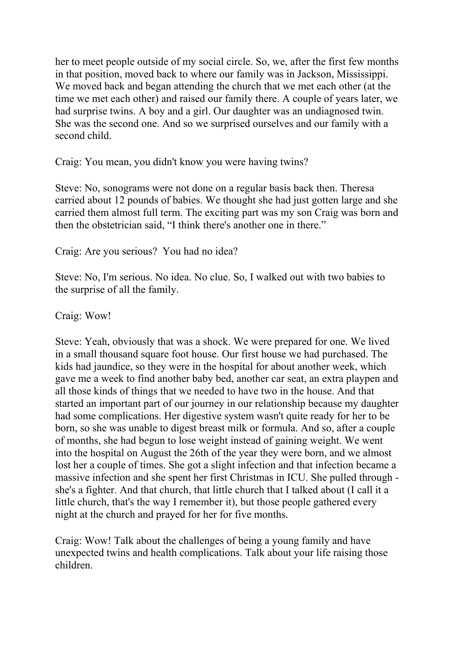her to meet people outside of my social circle. So, we, after the first few months in that position, moved back to where our family was in Jackson, Mississippi. We moved back and began attending the church that we met each other (at the time we met each other) and raised our family there. A couple of years later, we had surprise twins. A boy and a girl. Our daughter was an undiagnosed twin. She was the second one. And so we surprised ourselves and our family with a second child.

Craig: You mean, you didn't know you were having twins?

Steve: No, sonograms were not done on a regular basis back then. Theresa carried about 12 pounds of babies. We thought she had just gotten large and she carried them almost full term. The exciting part was my son Craig was born and then the obstetrician said, "I think there's another one in there."

Craig: Are you serious? You had no idea?

Steve: No, I'm serious. No idea. No clue. So, I walked out with two babies to the surprise of all the family.

Craig: Wow!

Steve: Yeah, obviously that was a shock. We were prepared for one. We lived in a small thousand square foot house. Our first house we had purchased. The kids had jaundice, so they were in the hospital for about another week, which gave me a week to find another baby bed, another car seat, an extra playpen and all those kinds of things that we needed to have two in the house. And that started an important part of our journey in our relationship because my daughter had some complications. Her digestive system wasn't quite ready for her to be born, so she was unable to digest breast milk or formula. And so, after a couple of months, she had begun to lose weight instead of gaining weight. We went into the hospital on August the 26th of the year they were born, and we almost lost her a couple of times. She got a slight infection and that infection became a massive infection and she spent her first Christmas in ICU. She pulled through she's a fighter. And that church, that little church that I talked about (I call it a little church, that's the way I remember it), but those people gathered every night at the church and prayed for her for five months.

Craig: Wow! Talk about the challenges of being a young family and have unexpected twins and health complications. Talk about your life raising those children.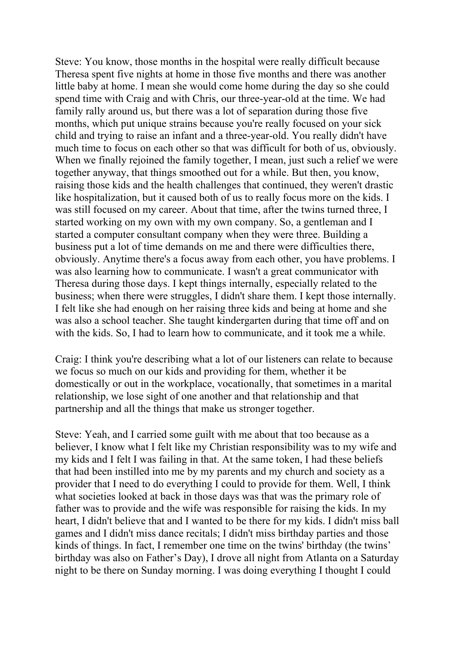Steve: You know, those months in the hospital were really difficult because Theresa spent five nights at home in those five months and there was another little baby at home. I mean she would come home during the day so she could spend time with Craig and with Chris, our three-year-old at the time. We had family rally around us, but there was a lot of separation during those five months, which put unique strains because you're really focused on your sick child and trying to raise an infant and a three-year-old. You really didn't have much time to focus on each other so that was difficult for both of us, obviously. When we finally rejoined the family together, I mean, just such a relief we were together anyway, that things smoothed out for a while. But then, you know, raising those kids and the health challenges that continued, they weren't drastic like hospitalization, but it caused both of us to really focus more on the kids. I was still focused on my career. About that time, after the twins turned three, I started working on my own with my own company. So, a gentleman and I started a computer consultant company when they were three. Building a business put a lot of time demands on me and there were difficulties there, obviously. Anytime there's a focus away from each other, you have problems. I was also learning how to communicate. I wasn't a great communicator with Theresa during those days. I kept things internally, especially related to the business; when there were struggles, I didn't share them. I kept those internally. I felt like she had enough on her raising three kids and being at home and she was also a school teacher. She taught kindergarten during that time off and on with the kids. So, I had to learn how to communicate, and it took me a while.

Craig: I think you're describing what a lot of our listeners can relate to because we focus so much on our kids and providing for them, whether it be domestically or out in the workplace, vocationally, that sometimes in a marital relationship, we lose sight of one another and that relationship and that partnership and all the things that make us stronger together.

Steve: Yeah, and I carried some guilt with me about that too because as a believer, I know what I felt like my Christian responsibility was to my wife and my kids and I felt I was failing in that. At the same token, I had these beliefs that had been instilled into me by my parents and my church and society as a provider that I need to do everything I could to provide for them. Well, I think what societies looked at back in those days was that was the primary role of father was to provide and the wife was responsible for raising the kids. In my heart, I didn't believe that and I wanted to be there for my kids. I didn't miss ball games and I didn't miss dance recitals; I didn't miss birthday parties and those kinds of things. In fact, I remember one time on the twins' birthday (the twins' birthday was also on Father's Day), I drove all night from Atlanta on a Saturday night to be there on Sunday morning. I was doing everything I thought I could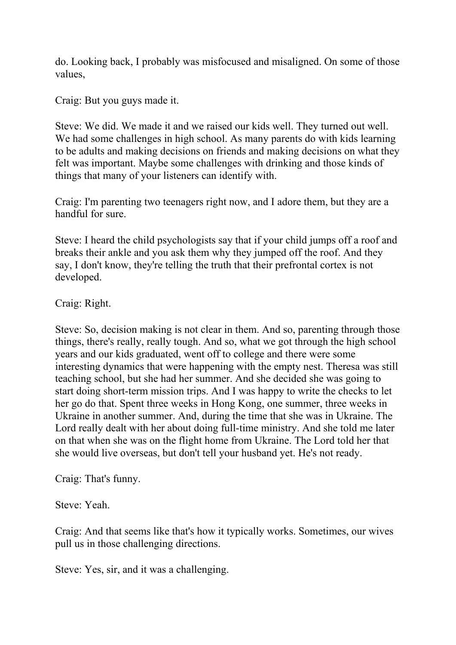do. Looking back, I probably was misfocused and misaligned. On some of those values,

Craig: But you guys made it.

Steve: We did. We made it and we raised our kids well. They turned out well. We had some challenges in high school. As many parents do with kids learning to be adults and making decisions on friends and making decisions on what they felt was important. Maybe some challenges with drinking and those kinds of things that many of your listeners can identify with.

Craig: I'm parenting two teenagers right now, and I adore them, but they are a handful for sure.

Steve: I heard the child psychologists say that if your child jumps off a roof and breaks their ankle and you ask them why they jumped off the roof. And they say, I don't know, they're telling the truth that their prefrontal cortex is not developed.

Craig: Right.

Steve: So, decision making is not clear in them. And so, parenting through those things, there's really, really tough. And so, what we got through the high school years and our kids graduated, went off to college and there were some interesting dynamics that were happening with the empty nest. Theresa was still teaching school, but she had her summer. And she decided she was going to start doing short-term mission trips. And I was happy to write the checks to let her go do that. Spent three weeks in Hong Kong, one summer, three weeks in Ukraine in another summer. And, during the time that she was in Ukraine. The Lord really dealt with her about doing full-time ministry. And she told me later on that when she was on the flight home from Ukraine. The Lord told her that she would live overseas, but don't tell your husband yet. He's not ready.

Craig: That's funny.

Steve: Yeah.

Craig: And that seems like that's how it typically works. Sometimes, our wives pull us in those challenging directions.

Steve: Yes, sir, and it was a challenging.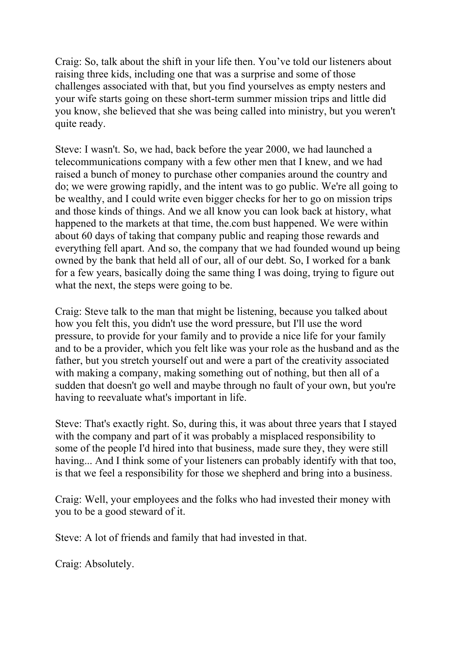Craig: So, talk about the shift in your life then. You've told our listeners about raising three kids, including one that was a surprise and some of those challenges associated with that, but you find yourselves as empty nesters and your wife starts going on these short-term summer mission trips and little did you know, she believed that she was being called into ministry, but you weren't quite ready.

Steve: I wasn't. So, we had, back before the year 2000, we had launched a telecommunications company with a few other men that I knew, and we had raised a bunch of money to purchase other companies around the country and do; we were growing rapidly, and the intent was to go public. We're all going to be wealthy, and I could write even bigger checks for her to go on mission trips and those kinds of things. And we all know you can look back at history, what happened to the markets at that time, the.com bust happened. We were within about 60 days of taking that company public and reaping those rewards and everything fell apart. And so, the company that we had founded wound up being owned by the bank that held all of our, all of our debt. So, I worked for a bank for a few years, basically doing the same thing I was doing, trying to figure out what the next, the steps were going to be.

Craig: Steve talk to the man that might be listening, because you talked about how you felt this, you didn't use the word pressure, but I'll use the word pressure, to provide for your family and to provide a nice life for your family and to be a provider, which you felt like was your role as the husband and as the father, but you stretch yourself out and were a part of the creativity associated with making a company, making something out of nothing, but then all of a sudden that doesn't go well and maybe through no fault of your own, but you're having to reevaluate what's important in life.

Steve: That's exactly right. So, during this, it was about three years that I stayed with the company and part of it was probably a misplaced responsibility to some of the people I'd hired into that business, made sure they, they were still having... And I think some of your listeners can probably identify with that too, is that we feel a responsibility for those we shepherd and bring into a business.

Craig: Well, your employees and the folks who had invested their money with you to be a good steward of it.

Steve: A lot of friends and family that had invested in that.

Craig: Absolutely.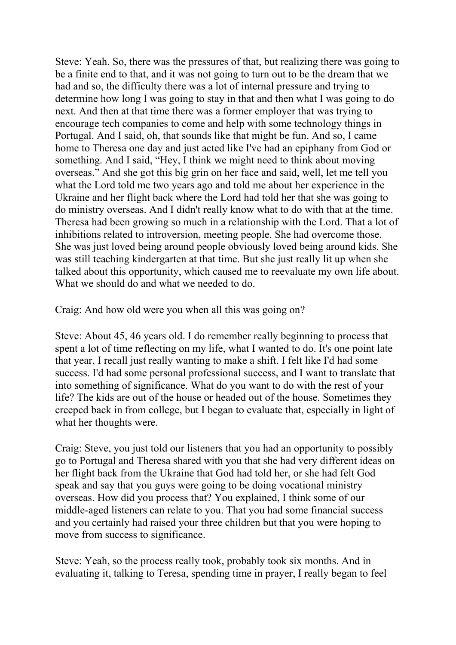Steve: Yeah. So, there was the pressures of that, but realizing there was going to be a finite end to that, and it was not going to turn out to be the dream that we had and so, the difficulty there was a lot of internal pressure and trying to determine how long I was going to stay in that and then what I was going to do next. And then at that time there was a former employer that was trying to encourage tech companies to come and help with some technology things in Portugal. And I said, oh, that sounds like that might be fun. And so, I came home to Theresa one day and just acted like I've had an epiphany from God or something. And I said, "Hey, I think we might need to think about moving overseas." And she got this big grin on her face and said, well, let me tell you what the Lord told me two years ago and told me about her experience in the Ukraine and her flight back where the Lord had told her that she was going to do ministry overseas. And I didn't really know what to do with that at the time. Theresa had been growing so much in a relationship with the Lord. That a lot of inhibitions related to introversion, meeting people. She had overcome those. She was just loved being around people obviously loved being around kids. She was still teaching kindergarten at that time. But she just really lit up when she talked about this opportunity, which caused me to reevaluate my own life about. What we should do and what we needed to do.

Craig: And how old were you when all this was going on?

Steve: About 45, 46 years old. I do remember really beginning to process that spent a lot of time reflecting on my life, what I wanted to do. It's one point late that year, I recall just really wanting to make a shift. I felt like I'd had some success. I'd had some personal professional success, and I want to translate that into something of significance. What do you want to do with the rest of your life? The kids are out of the house or headed out of the house. Sometimes they creeped back in from college, but I began to evaluate that, especially in light of what her thoughts were.

Craig: Steve, you just told our listeners that you had an opportunity to possibly go to Portugal and Theresa shared with you that she had very different ideas on her flight back from the Ukraine that God had told her, or she had felt God speak and say that you guys were going to be doing vocational ministry overseas. How did you process that? You explained, I think some of our middle-aged listeners can relate to you. That you had some financial success and you certainly had raised your three children but that you were hoping to move from success to significance.

Steve: Yeah, so the process really took, probably took six months. And in evaluating it, talking to Teresa, spending time in prayer, I really began to feel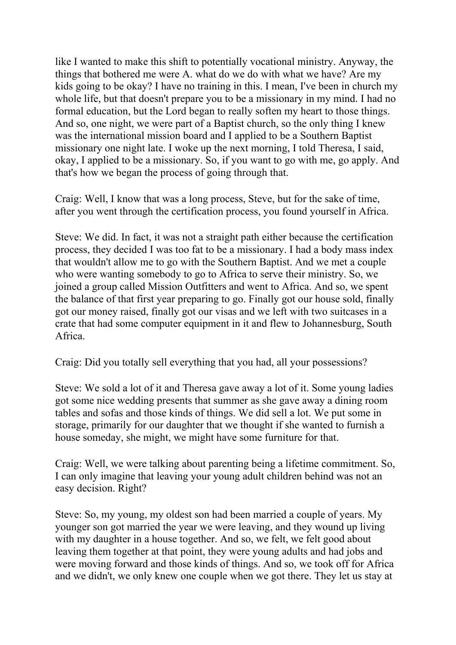like I wanted to make this shift to potentially vocational ministry. Anyway, the things that bothered me were A. what do we do with what we have? Are my kids going to be okay? I have no training in this. I mean, I've been in church my whole life, but that doesn't prepare you to be a missionary in my mind. I had no formal education, but the Lord began to really soften my heart to those things. And so, one night, we were part of a Baptist church, so the only thing I knew was the international mission board and I applied to be a Southern Baptist missionary one night late. I woke up the next morning, I told Theresa, I said, okay, I applied to be a missionary. So, if you want to go with me, go apply. And that's how we began the process of going through that.

Craig: Well, I know that was a long process, Steve, but for the sake of time, after you went through the certification process, you found yourself in Africa.

Steve: We did. In fact, it was not a straight path either because the certification process, they decided I was too fat to be a missionary. I had a body mass index that wouldn't allow me to go with the Southern Baptist. And we met a couple who were wanting somebody to go to Africa to serve their ministry. So, we joined a group called Mission Outfitters and went to Africa. And so, we spent the balance of that first year preparing to go. Finally got our house sold, finally got our money raised, finally got our visas and we left with two suitcases in a crate that had some computer equipment in it and flew to Johannesburg, South Africa.

Craig: Did you totally sell everything that you had, all your possessions?

Steve: We sold a lot of it and Theresa gave away a lot of it. Some young ladies got some nice wedding presents that summer as she gave away a dining room tables and sofas and those kinds of things. We did sell a lot. We put some in storage, primarily for our daughter that we thought if she wanted to furnish a house someday, she might, we might have some furniture for that.

Craig: Well, we were talking about parenting being a lifetime commitment. So, I can only imagine that leaving your young adult children behind was not an easy decision. Right?

Steve: So, my young, my oldest son had been married a couple of years. My younger son got married the year we were leaving, and they wound up living with my daughter in a house together. And so, we felt, we felt good about leaving them together at that point, they were young adults and had jobs and were moving forward and those kinds of things. And so, we took off for Africa and we didn't, we only knew one couple when we got there. They let us stay at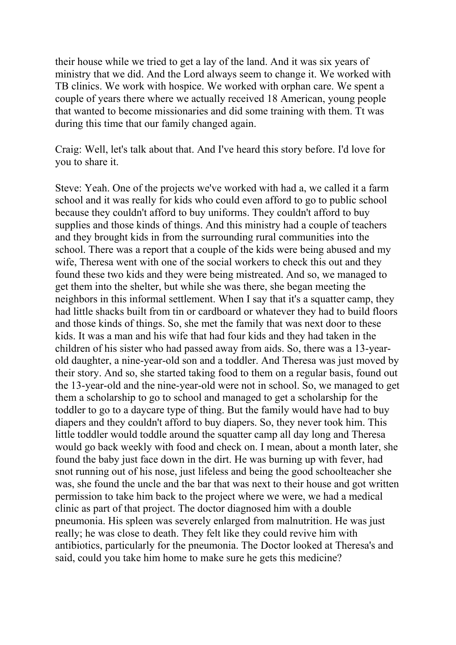their house while we tried to get a lay of the land. And it was six years of ministry that we did. And the Lord always seem to change it. We worked with TB clinics. We work with hospice. We worked with orphan care. We spent a couple of years there where we actually received 18 American, young people that wanted to become missionaries and did some training with them. Tt was during this time that our family changed again.

Craig: Well, let's talk about that. And I've heard this story before. I'd love for you to share it.

Steve: Yeah. One of the projects we've worked with had a, we called it a farm school and it was really for kids who could even afford to go to public school because they couldn't afford to buy uniforms. They couldn't afford to buy supplies and those kinds of things. And this ministry had a couple of teachers and they brought kids in from the surrounding rural communities into the school. There was a report that a couple of the kids were being abused and my wife, Theresa went with one of the social workers to check this out and they found these two kids and they were being mistreated. And so, we managed to get them into the shelter, but while she was there, she began meeting the neighbors in this informal settlement. When I say that it's a squatter camp, they had little shacks built from tin or cardboard or whatever they had to build floors and those kinds of things. So, she met the family that was next door to these kids. It was a man and his wife that had four kids and they had taken in the children of his sister who had passed away from aids. So, there was a 13-yearold daughter, a nine-year-old son and a toddler. And Theresa was just moved by their story. And so, she started taking food to them on a regular basis, found out the 13-year-old and the nine-year-old were not in school. So, we managed to get them a scholarship to go to school and managed to get a scholarship for the toddler to go to a daycare type of thing. But the family would have had to buy diapers and they couldn't afford to buy diapers. So, they never took him. This little toddler would toddle around the squatter camp all day long and Theresa would go back weekly with food and check on. I mean, about a month later, she found the baby just face down in the dirt. He was burning up with fever, had snot running out of his nose, just lifeless and being the good schoolteacher she was, she found the uncle and the bar that was next to their house and got written permission to take him back to the project where we were, we had a medical clinic as part of that project. The doctor diagnosed him with a double pneumonia. His spleen was severely enlarged from malnutrition. He was just really; he was close to death. They felt like they could revive him with antibiotics, particularly for the pneumonia. The Doctor looked at Theresa's and said, could you take him home to make sure he gets this medicine?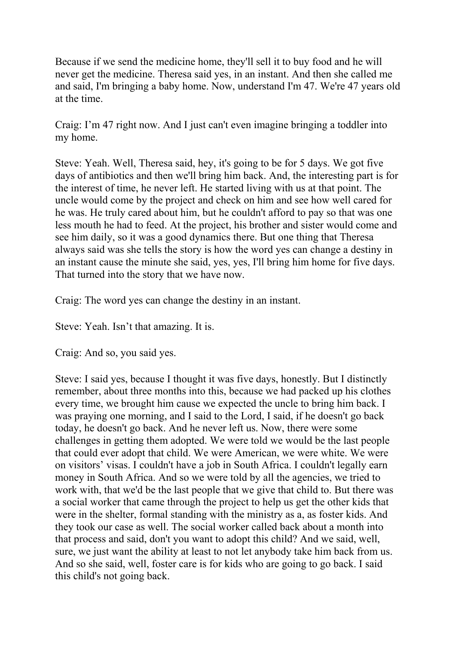Because if we send the medicine home, they'll sell it to buy food and he will never get the medicine. Theresa said yes, in an instant. And then she called me and said, I'm bringing a baby home. Now, understand I'm 47. We're 47 years old at the time.

Craig: I'm 47 right now. And I just can't even imagine bringing a toddler into my home.

Steve: Yeah. Well, Theresa said, hey, it's going to be for 5 days. We got five days of antibiotics and then we'll bring him back. And, the interesting part is for the interest of time, he never left. He started living with us at that point. The uncle would come by the project and check on him and see how well cared for he was. He truly cared about him, but he couldn't afford to pay so that was one less mouth he had to feed. At the project, his brother and sister would come and see him daily, so it was a good dynamics there. But one thing that Theresa always said was she tells the story is how the word yes can change a destiny in an instant cause the minute she said, yes, yes, I'll bring him home for five days. That turned into the story that we have now.

Craig: The word yes can change the destiny in an instant.

Steve: Yeah. Isn't that amazing. It is.

Craig: And so, you said yes.

Steve: I said yes, because I thought it was five days, honestly. But I distinctly remember, about three months into this, because we had packed up his clothes every time, we brought him cause we expected the uncle to bring him back. I was praying one morning, and I said to the Lord, I said, if he doesn't go back today, he doesn't go back. And he never left us. Now, there were some challenges in getting them adopted. We were told we would be the last people that could ever adopt that child. We were American, we were white. We were on visitors' visas. I couldn't have a job in South Africa. I couldn't legally earn money in South Africa. And so we were told by all the agencies, we tried to work with, that we'd be the last people that we give that child to. But there was a social worker that came through the project to help us get the other kids that were in the shelter, formal standing with the ministry as a, as foster kids. And they took our case as well. The social worker called back about a month into that process and said, don't you want to adopt this child? And we said, well, sure, we just want the ability at least to not let anybody take him back from us. And so she said, well, foster care is for kids who are going to go back. I said this child's not going back.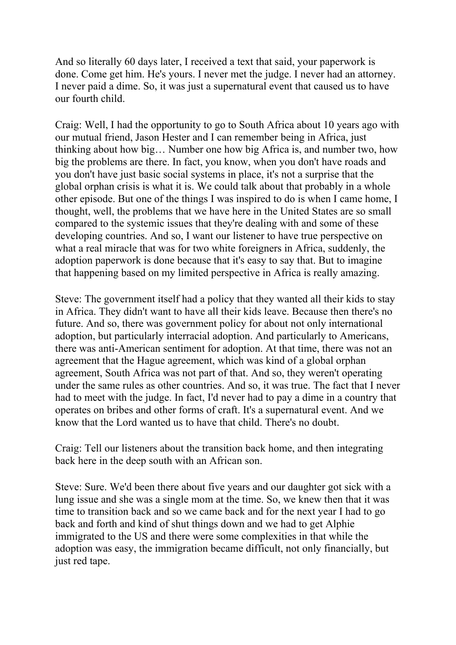And so literally 60 days later, I received a text that said, your paperwork is done. Come get him. He's yours. I never met the judge. I never had an attorney. I never paid a dime. So, it was just a supernatural event that caused us to have our fourth child.

Craig: Well, I had the opportunity to go to South Africa about 10 years ago with our mutual friend, Jason Hester and I can remember being in Africa, just thinking about how big… Number one how big Africa is, and number two, how big the problems are there. In fact, you know, when you don't have roads and you don't have just basic social systems in place, it's not a surprise that the global orphan crisis is what it is. We could talk about that probably in a whole other episode. But one of the things I was inspired to do is when I came home, I thought, well, the problems that we have here in the United States are so small compared to the systemic issues that they're dealing with and some of these developing countries. And so, I want our listener to have true perspective on what a real miracle that was for two white foreigners in Africa, suddenly, the adoption paperwork is done because that it's easy to say that. But to imagine that happening based on my limited perspective in Africa is really amazing.

Steve: The government itself had a policy that they wanted all their kids to stay in Africa. They didn't want to have all their kids leave. Because then there's no future. And so, there was government policy for about not only international adoption, but particularly interracial adoption. And particularly to Americans, there was anti-American sentiment for adoption. At that time, there was not an agreement that the Hague agreement, which was kind of a global orphan agreement, South Africa was not part of that. And so, they weren't operating under the same rules as other countries. And so, it was true. The fact that I never had to meet with the judge. In fact, I'd never had to pay a dime in a country that operates on bribes and other forms of craft. It's a supernatural event. And we know that the Lord wanted us to have that child. There's no doubt.

Craig: Tell our listeners about the transition back home, and then integrating back here in the deep south with an African son.

Steve: Sure. We'd been there about five years and our daughter got sick with a lung issue and she was a single mom at the time. So, we knew then that it was time to transition back and so we came back and for the next year I had to go back and forth and kind of shut things down and we had to get Alphie immigrated to the US and there were some complexities in that while the adoption was easy, the immigration became difficult, not only financially, but just red tape.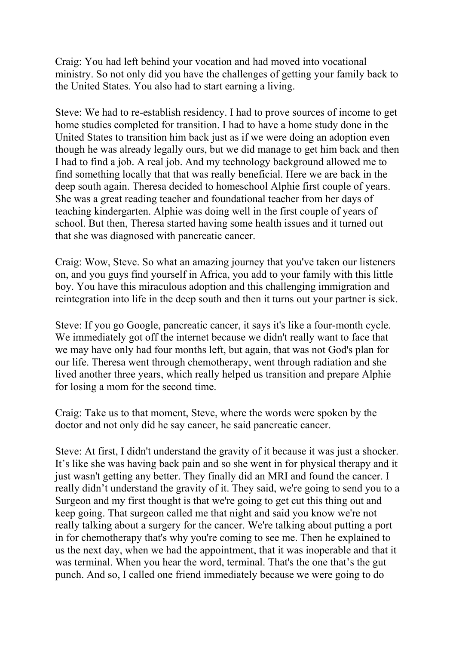Craig: You had left behind your vocation and had moved into vocational ministry. So not only did you have the challenges of getting your family back to the United States. You also had to start earning a living.

Steve: We had to re-establish residency. I had to prove sources of income to get home studies completed for transition. I had to have a home study done in the United States to transition him back just as if we were doing an adoption even though he was already legally ours, but we did manage to get him back and then I had to find a job. A real job. And my technology background allowed me to find something locally that that was really beneficial. Here we are back in the deep south again. Theresa decided to homeschool Alphie first couple of years. She was a great reading teacher and foundational teacher from her days of teaching kindergarten. Alphie was doing well in the first couple of years of school. But then, Theresa started having some health issues and it turned out that she was diagnosed with pancreatic cancer.

Craig: Wow, Steve. So what an amazing journey that you've taken our listeners on, and you guys find yourself in Africa, you add to your family with this little boy. You have this miraculous adoption and this challenging immigration and reintegration into life in the deep south and then it turns out your partner is sick.

Steve: If you go Google, pancreatic cancer, it says it's like a four-month cycle. We immediately got off the internet because we didn't really want to face that we may have only had four months left, but again, that was not God's plan for our life. Theresa went through chemotherapy, went through radiation and she lived another three years, which really helped us transition and prepare Alphie for losing a mom for the second time.

Craig: Take us to that moment, Steve, where the words were spoken by the doctor and not only did he say cancer, he said pancreatic cancer.

Steve: At first, I didn't understand the gravity of it because it was just a shocker. It's like she was having back pain and so she went in for physical therapy and it just wasn't getting any better. They finally did an MRI and found the cancer. I really didn't understand the gravity of it. They said, we're going to send you to a Surgeon and my first thought is that we're going to get cut this thing out and keep going. That surgeon called me that night and said you know we're not really talking about a surgery for the cancer. We're talking about putting a port in for chemotherapy that's why you're coming to see me. Then he explained to us the next day, when we had the appointment, that it was inoperable and that it was terminal. When you hear the word, terminal. That's the one that's the gut punch. And so, I called one friend immediately because we were going to do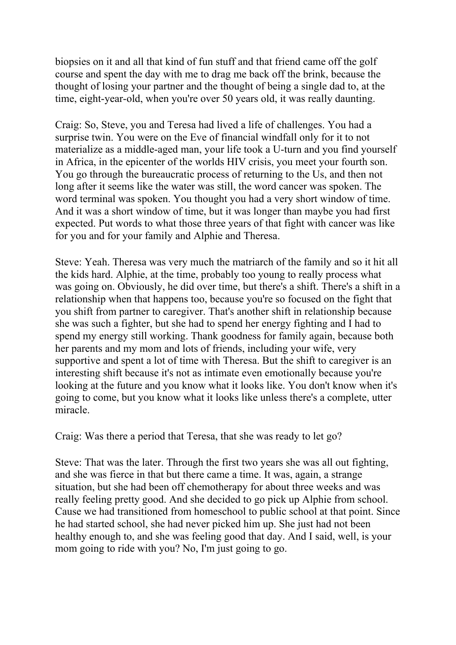biopsies on it and all that kind of fun stuff and that friend came off the golf course and spent the day with me to drag me back off the brink, because the thought of losing your partner and the thought of being a single dad to, at the time, eight-year-old, when you're over 50 years old, it was really daunting.

Craig: So, Steve, you and Teresa had lived a life of challenges. You had a surprise twin. You were on the Eve of financial windfall only for it to not materialize as a middle-aged man, your life took a U-turn and you find yourself in Africa, in the epicenter of the worlds HIV crisis, you meet your fourth son. You go through the bureaucratic process of returning to the Us, and then not long after it seems like the water was still, the word cancer was spoken. The word terminal was spoken. You thought you had a very short window of time. And it was a short window of time, but it was longer than maybe you had first expected. Put words to what those three years of that fight with cancer was like for you and for your family and Alphie and Theresa.

Steve: Yeah. Theresa was very much the matriarch of the family and so it hit all the kids hard. Alphie, at the time, probably too young to really process what was going on. Obviously, he did over time, but there's a shift. There's a shift in a relationship when that happens too, because you're so focused on the fight that you shift from partner to caregiver. That's another shift in relationship because she was such a fighter, but she had to spend her energy fighting and I had to spend my energy still working. Thank goodness for family again, because both her parents and my mom and lots of friends, including your wife, very supportive and spent a lot of time with Theresa. But the shift to caregiver is an interesting shift because it's not as intimate even emotionally because you're looking at the future and you know what it looks like. You don't know when it's going to come, but you know what it looks like unless there's a complete, utter miracle.

Craig: Was there a period that Teresa, that she was ready to let go?

Steve: That was the later. Through the first two years she was all out fighting, and she was fierce in that but there came a time. It was, again, a strange situation, but she had been off chemotherapy for about three weeks and was really feeling pretty good. And she decided to go pick up Alphie from school. Cause we had transitioned from homeschool to public school at that point. Since he had started school, she had never picked him up. She just had not been healthy enough to, and she was feeling good that day. And I said, well, is your mom going to ride with you? No, I'm just going to go.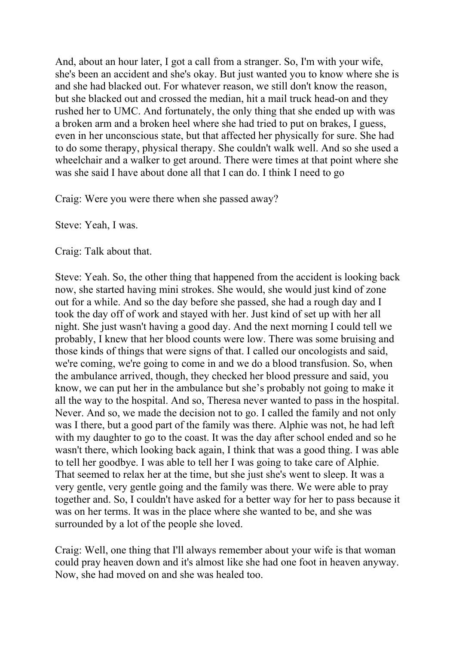And, about an hour later, I got a call from a stranger. So, I'm with your wife, she's been an accident and she's okay. But just wanted you to know where she is and she had blacked out. For whatever reason, we still don't know the reason, but she blacked out and crossed the median, hit a mail truck head-on and they rushed her to UMC. And fortunately, the only thing that she ended up with was a broken arm and a broken heel where she had tried to put on brakes, I guess, even in her unconscious state, but that affected her physically for sure. She had to do some therapy, physical therapy. She couldn't walk well. And so she used a wheelchair and a walker to get around. There were times at that point where she was she said I have about done all that I can do. I think I need to go

Craig: Were you were there when she passed away?

Steve: Yeah, I was.

Craig: Talk about that.

Steve: Yeah. So, the other thing that happened from the accident is looking back now, she started having mini strokes. She would, she would just kind of zone out for a while. And so the day before she passed, she had a rough day and I took the day off of work and stayed with her. Just kind of set up with her all night. She just wasn't having a good day. And the next morning I could tell we probably, I knew that her blood counts were low. There was some bruising and those kinds of things that were signs of that. I called our oncologists and said, we're coming, we're going to come in and we do a blood transfusion. So, when the ambulance arrived, though, they checked her blood pressure and said, you know, we can put her in the ambulance but she's probably not going to make it all the way to the hospital. And so, Theresa never wanted to pass in the hospital. Never. And so, we made the decision not to go. I called the family and not only was I there, but a good part of the family was there. Alphie was not, he had left with my daughter to go to the coast. It was the day after school ended and so he wasn't there, which looking back again, I think that was a good thing. I was able to tell her goodbye. I was able to tell her I was going to take care of Alphie. That seemed to relax her at the time, but she just she's went to sleep. It was a very gentle, very gentle going and the family was there. We were able to pray together and. So, I couldn't have asked for a better way for her to pass because it was on her terms. It was in the place where she wanted to be, and she was surrounded by a lot of the people she loved.

Craig: Well, one thing that I'll always remember about your wife is that woman could pray heaven down and it's almost like she had one foot in heaven anyway. Now, she had moved on and she was healed too.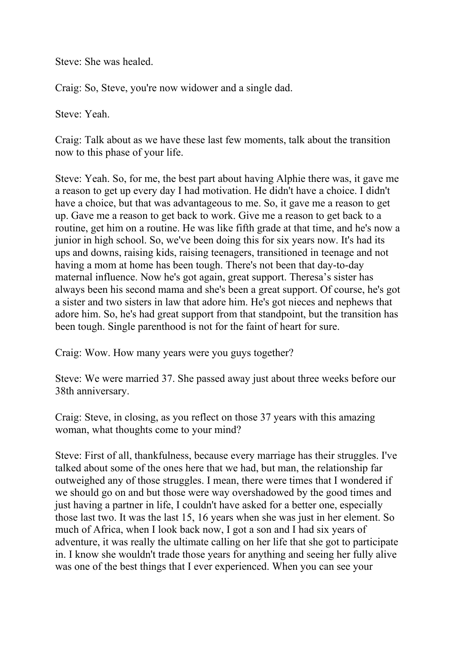Steve: She was healed.

Craig: So, Steve, you're now widower and a single dad.

Steve: Yeah.

Craig: Talk about as we have these last few moments, talk about the transition now to this phase of your life.

Steve: Yeah. So, for me, the best part about having Alphie there was, it gave me a reason to get up every day I had motivation. He didn't have a choice. I didn't have a choice, but that was advantageous to me. So, it gave me a reason to get up. Gave me a reason to get back to work. Give me a reason to get back to a routine, get him on a routine. He was like fifth grade at that time, and he's now a junior in high school. So, we've been doing this for six years now. It's had its ups and downs, raising kids, raising teenagers, transitioned in teenage and not having a mom at home has been tough. There's not been that day-to-day maternal influence. Now he's got again, great support. Theresa's sister has always been his second mama and she's been a great support. Of course, he's got a sister and two sisters in law that adore him. He's got nieces and nephews that adore him. So, he's had great support from that standpoint, but the transition has been tough. Single parenthood is not for the faint of heart for sure.

Craig: Wow. How many years were you guys together?

Steve: We were married 37. She passed away just about three weeks before our 38th anniversary.

Craig: Steve, in closing, as you reflect on those 37 years with this amazing woman, what thoughts come to your mind?

Steve: First of all, thankfulness, because every marriage has their struggles. I've talked about some of the ones here that we had, but man, the relationship far outweighed any of those struggles. I mean, there were times that I wondered if we should go on and but those were way overshadowed by the good times and just having a partner in life, I couldn't have asked for a better one, especially those last two. It was the last 15, 16 years when she was just in her element. So much of Africa, when I look back now, I got a son and I had six years of adventure, it was really the ultimate calling on her life that she got to participate in. I know she wouldn't trade those years for anything and seeing her fully alive was one of the best things that I ever experienced. When you can see your